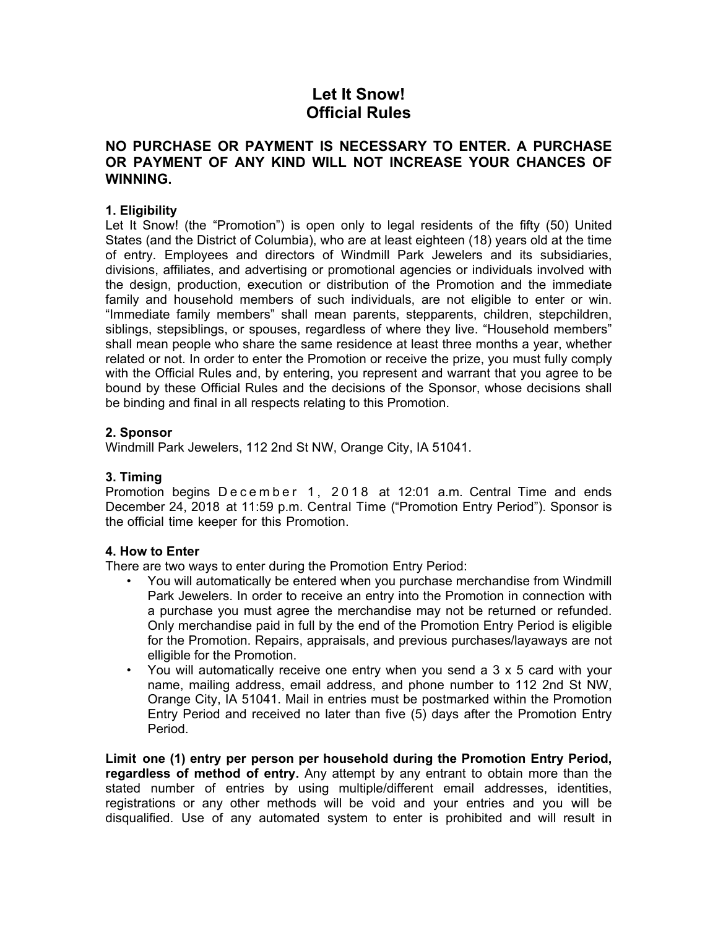# **Let It Snow! Official Rules**

## **NO PURCHASE OR PAYMENT IS NECESSARY TO ENTER. A PURCHASE OR PAYMENT OF ANY KIND WILL NOT INCREASE YOUR CHANCES OF WINNING.**

## **1. Eligibility**

Let It Snow! (the "Promotion") is open only to legal residents of the fifty (50) United States (and the District of Columbia), who are at least eighteen (18) years old at the time of entry. Employees and directors of Windmill Park Jewelers and its subsidiaries, divisions, affiliates, and advertising or promotional agencies or individuals involved with the design, production, execution or distribution of the Promotion and the immediate family and household members of such individuals, are not eligible to enter or win. "Immediate family members" shall mean parents, stepparents, children, stepchildren, siblings, stepsiblings, or spouses, regardless of where they live. "Household members" shall mean people who share the same residence at least three months a year, whether related or not. In order to enter the Promotion or receive the prize, you must fully comply with the Official Rules and, by entering, you represent and warrant that you agree to be bound by these Official Rules and the decisions of the Sponsor, whose decisions shall be binding and final in all respects relating to this Promotion.

#### **2. Sponsor**

Windmill Park Jewelers, 112 2nd St NW, Orange City, IA 51041.

## **3. Timing**

Promotion begins December 1, 2018 at 12:01 a.m. Central Time and ends December 24, 2018 at 11:59 p.m. Central Time ("Promotion Entry Period"). Sponsor is the official time keeper for this Promotion.

#### **4. How to Enter**

There are two ways to enter during the Promotion Entry Period:

- You will automatically be entered when you purchase merchandise from Windmill Park Jewelers. In order to receive an entry into the Promotion in connection with a purchase you must agree the merchandise may not be returned or refunded. Only merchandise paid in full by the end of the Promotion Entry Period is eligible for the Promotion. Repairs, appraisals, and previous purchases/layaways are not elligible for the Promotion.
- You will automatically receive one entry when you send a 3 x 5 card with your name, mailing address, email address, and phone number to 112 2nd St NW, Orange City, IA 51041. Mail in entries must be postmarked within the Promotion Entry Period and received no later than five (5) days after the Promotion Entry Period.

**Limit one (1) entry per person per household during the Promotion Entry Period, regardless of method of entry.** Any attempt by any entrant to obtain more than the stated number of entries by using multiple/different email addresses, identities, registrations or any other methods will be void and your entries and you will be disqualified. Use of any automated system to enter is prohibited and will result in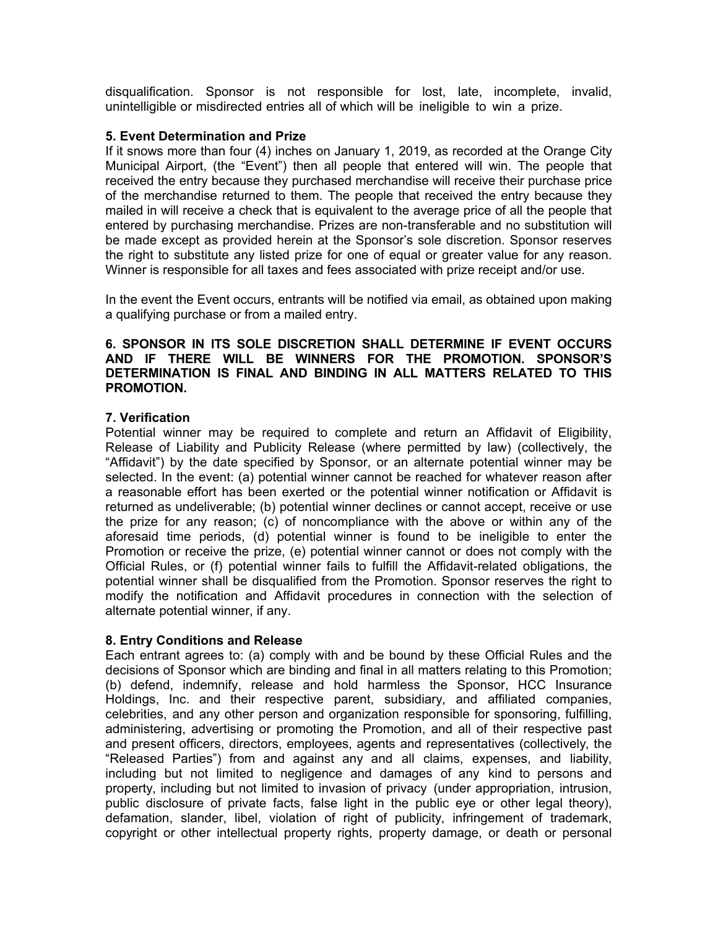disqualification. Sponsor is not responsible for lost, late, incomplete, invalid, unintelligible or misdirected entries all of which will be ineligible to win a prize.

#### **5. Event Determination and Prize**

If it snows more than four (4) inches on January 1, 2019, as recorded at the Orange City Municipal Airport, (the "Event") then all people that entered will win. The people that received the entry because they purchased merchandise will receive their purchase price of the merchandise returned to them. The people that received the entry because they mailed in will receive a check that is equivalent to the average price of all the people that entered by purchasing merchandise. Prizes are non-transferable and no substitution will be made except as provided herein at the Sponsor's sole discretion. Sponsor reserves the right to substitute any listed prize for one of equal or greater value for any reason. Winner is responsible for all taxes and fees associated with prize receipt and/or use.

In the event the Event occurs, entrants will be notified via email, as obtained upon making a qualifying purchase or from a mailed entry.

#### **6. SPONSOR IN ITS SOLE DISCRETION SHALL DETERMINE IF EVENT OCCURS AND IF THERE WILL BE WINNERS FOR THE PROMOTION. SPONSOR'S DETERMINATION IS FINAL AND BINDING IN ALL MATTERS RELATED TO THIS PROMOTION.**

#### **7. Verification**

Potential winner may be required to complete and return an Affidavit of Eligibility, Release of Liability and Publicity Release (where permitted by law) (collectively, the "Affidavit") by the date specified by Sponsor, or an alternate potential winner may be selected. In the event: (a) potential winner cannot be reached for whatever reason after a reasonable effort has been exerted or the potential winner notification or Affidavit is returned as undeliverable; (b) potential winner declines or cannot accept, receive or use the prize for any reason; (c) of noncompliance with the above or within any of the aforesaid time periods, (d) potential winner is found to be ineligible to enter the Promotion or receive the prize, (e) potential winner cannot or does not comply with the Official Rules, or (f) potential winner fails to fulfill the Affidavit-related obligations, the potential winner shall be disqualified from the Promotion. Sponsor reserves the right to modify the notification and Affidavit procedures in connection with the selection of alternate potential winner, if any.

## **8. Entry Conditions and Release**

Each entrant agrees to: (a) comply with and be bound by these Official Rules and the decisions of Sponsor which are binding and final in all matters relating to this Promotion; (b) defend, indemnify, release and hold harmless the Sponsor, HCC Insurance Holdings, Inc. and their respective parent, subsidiary, and affiliated companies, celebrities, and any other person and organization responsible for sponsoring, fulfilling, administering, advertising or promoting the Promotion, and all of their respective past and present officers, directors, employees, agents and representatives (collectively, the "Released Parties") from and against any and all claims, expenses, and liability, including but not limited to negligence and damages of any kind to persons and property, including but not limited to invasion of privacy (under appropriation, intrusion, public disclosure of private facts, false light in the public eye or other legal theory), defamation, slander, libel, violation of right of publicity, infringement of trademark, copyright or other intellectual property rights, property damage, or death or personal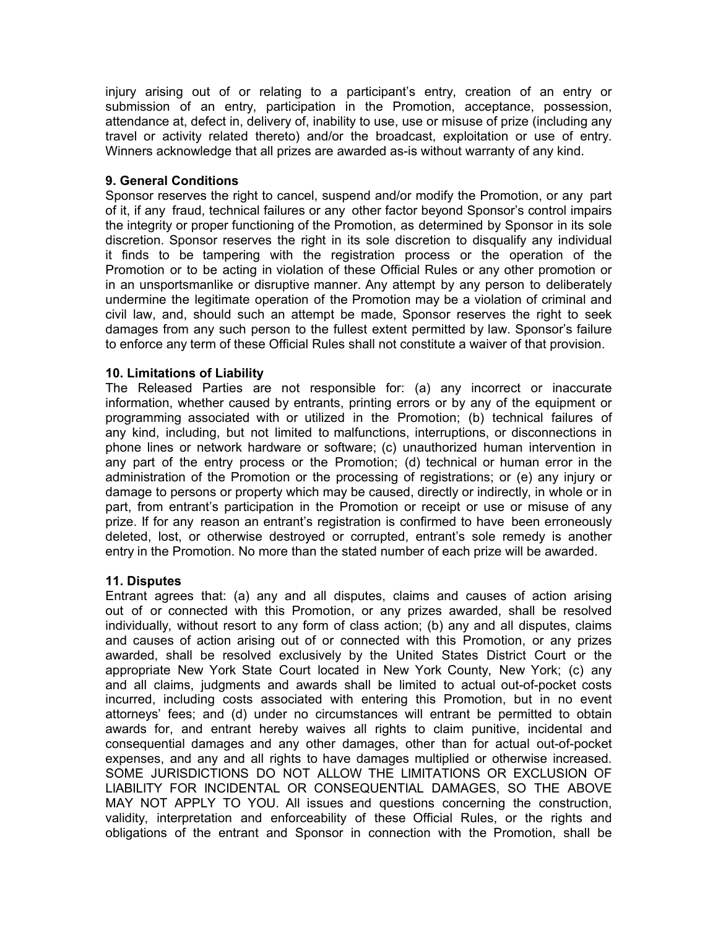injury arising out of or relating to a participant's entry, creation of an entry or submission of an entry, participation in the Promotion, acceptance, possession, attendance at, defect in, delivery of, inability to use, use or misuse of prize (including any travel or activity related thereto) and/or the broadcast, exploitation or use of entry. Winners acknowledge that all prizes are awarded as-is without warranty of any kind.

## **9. General Conditions**

Sponsor reserves the right to cancel, suspend and/or modify the Promotion, or any part of it, if any fraud, technical failures or any other factor beyond Sponsor's control impairs the integrity or proper functioning of the Promotion, as determined by Sponsor in its sole discretion. Sponsor reserves the right in its sole discretion to disqualify any individual it finds to be tampering with the registration process or the operation of the Promotion or to be acting in violation of these Official Rules or any other promotion or in an unsportsmanlike or disruptive manner. Any attempt by any person to deliberately undermine the legitimate operation of the Promotion may be a violation of criminal and civil law, and, should such an attempt be made, Sponsor reserves the right to seek damages from any such person to the fullest extent permitted by law. Sponsor's failure to enforce any term of these Official Rules shall not constitute a waiver of that provision.

#### **10. Limitations of Liability**

The Released Parties are not responsible for: (a) any incorrect or inaccurate information, whether caused by entrants, printing errors or by any of the equipment or programming associated with or utilized in the Promotion; (b) technical failures of any kind, including, but not limited to malfunctions, interruptions, or disconnections in phone lines or network hardware or software; (c) unauthorized human intervention in any part of the entry process or the Promotion; (d) technical or human error in the administration of the Promotion or the processing of registrations; or (e) any injury or damage to persons or property which may be caused, directly or indirectly, in whole or in part, from entrant's participation in the Promotion or receipt or use or misuse of any prize. If for any reason an entrant's registration is confirmed to have been erroneously deleted, lost, or otherwise destroyed or corrupted, entrant's sole remedy is another entry in the Promotion. No more than the stated number of each prize will be awarded.

## **11. Disputes**

Entrant agrees that: (a) any and all disputes, claims and causes of action arising out of or connected with this Promotion, or any prizes awarded, shall be resolved individually, without resort to any form of class action; (b) any and all disputes, claims and causes of action arising out of or connected with this Promotion, or any prizes awarded, shall be resolved exclusively by the United States District Court or the appropriate New York State Court located in New York County, New York; (c) any and all claims, judgments and awards shall be limited to actual out-of-pocket costs incurred, including costs associated with entering this Promotion, but in no event attorneys' fees; and (d) under no circumstances will entrant be permitted to obtain awards for, and entrant hereby waives all rights to claim punitive, incidental and consequential damages and any other damages, other than for actual out-of-pocket expenses, and any and all rights to have damages multiplied or otherwise increased. SOME JURISDICTIONS DO NOT ALLOW THE LIMITATIONS OR EXCLUSION OF LIABILITY FOR INCIDENTAL OR CONSEQUENTIAL DAMAGES, SO THE ABOVE MAY NOT APPLY TO YOU. All issues and questions concerning the construction, validity, interpretation and enforceability of these Official Rules, or the rights and obligations of the entrant and Sponsor in connection with the Promotion, shall be